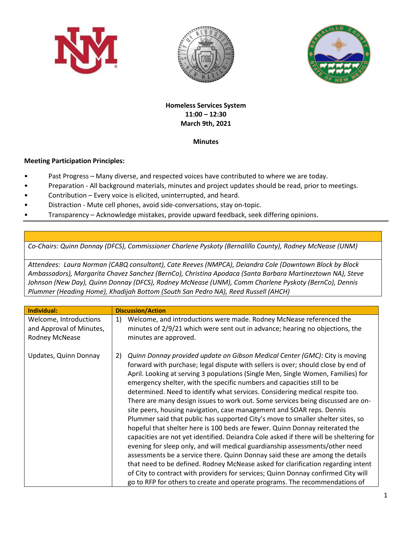





## **Homeless Services System 11:00 – 12:30 March 9th, 2021**

## **Minutes**

## **Meeting Participation Principles:**

- Past Progress Many diverse, and respected voices have contributed to where we are today.
- Preparation All background materials, minutes and project updates should be read, prior to meetings.
- Contribution Every voice is elicited, uninterrupted, and heard.
- Distraction Mute cell phones, avoid side-conversations, stay on-topic.
- Transparency Acknowledge mistakes, provide upward feedback, seek differing opinions.

*Co-Chairs: Quinn Donnay (DFCS), Commissioner Charlene Pyskoty (Bernalillo County), Rodney McNease (UNM)*

*Attendees: Laura Norman (CABQ consultant), Cate Reeves (NMPCA), Deiandra Cole (Downtown Block by Block Ambassadors), Margarita Chavez Sanchez (BernCo), Christina Apodaca (Santa Barbara Martineztown NA), Steve Johnson (New Day), Quinn Donnay (DFCS), Rodney McNease (UNM), Comm Charlene Pyskoty (BernCo), Dennis Plummer (Heading Home), Khadijah Bottom (South San Pedro NA), Reed Russell (AHCH)*

| <b>Individual:</b>                                                   | <b>Discussion/Action</b>                                                                                                                                                                                                                                                                                                                                                                                                                                                                                                                                                                                                                                                                                                                                                                                                                                                                                                                                                                                                                                                                                                                                                                                                                                                |
|----------------------------------------------------------------------|-------------------------------------------------------------------------------------------------------------------------------------------------------------------------------------------------------------------------------------------------------------------------------------------------------------------------------------------------------------------------------------------------------------------------------------------------------------------------------------------------------------------------------------------------------------------------------------------------------------------------------------------------------------------------------------------------------------------------------------------------------------------------------------------------------------------------------------------------------------------------------------------------------------------------------------------------------------------------------------------------------------------------------------------------------------------------------------------------------------------------------------------------------------------------------------------------------------------------------------------------------------------------|
| Welcome, Introductions<br>and Approval of Minutes,<br>Rodney McNease | Welcome, and introductions were made. Rodney McNease referenced the<br>1)<br>minutes of 2/9/21 which were sent out in advance; hearing no objections, the<br>minutes are approved.                                                                                                                                                                                                                                                                                                                                                                                                                                                                                                                                                                                                                                                                                                                                                                                                                                                                                                                                                                                                                                                                                      |
| Updates, Quinn Donnay                                                | Quinn Donnay provided update on Gibson Medical Center (GMC): City is moving<br>2)<br>forward with purchase; legal dispute with sellers is over; should close by end of<br>April. Looking at serving 3 populations (Single Men, Single Women, Families) for<br>emergency shelter, with the specific numbers and capacities still to be<br>determined. Need to identify what services. Considering medical respite too.<br>There are many design issues to work out. Some services being discussed are on-<br>site peers, housing navigation, case management and SOAR reps. Dennis<br>Plummer said that public has supported City's move to smaller shelter sites, so<br>hopeful that shelter here is 100 beds are fewer. Quinn Donnay reiterated the<br>capacities are not yet identified. Deiandra Cole asked if there will be sheltering for<br>evening for sleep only, and will medical guardianship assessments/other need<br>assessments be a service there. Quinn Donnay said these are among the details<br>that need to be defined. Rodney McNease asked for clarification regarding intent<br>of City to contract with providers for services; Quinn Donnay confirmed City will<br>go to RFP for others to create and operate programs. The recommendations of |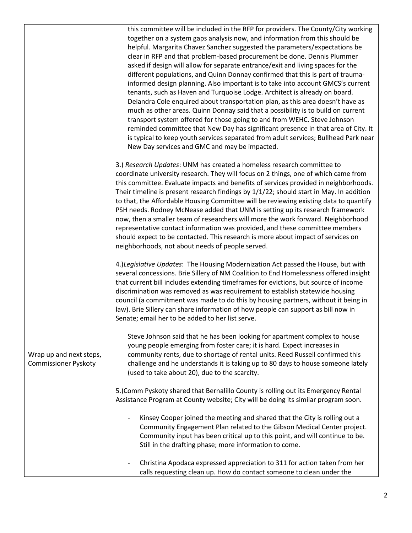|                                                        | this committee will be included in the RFP for providers. The County/City working<br>together on a system gaps analysis now, and information from this should be<br>helpful. Margarita Chavez Sanchez suggested the parameters/expectations be<br>clear in RFP and that problem-based procurement be done. Dennis Plummer<br>asked if design will allow for separate entrance/exit and living spaces for the<br>different populations, and Quinn Donnay confirmed that this is part of trauma-<br>informed design planning. Also important is to take into account GMCS's current<br>tenants, such as Haven and Turquoise Lodge. Architect is already on board.<br>Deiandra Cole enquired about transportation plan, as this area doesn't have as<br>much as other areas. Quinn Donnay said that a possibility is to build on current<br>transport system offered for those going to and from WEHC. Steve Johnson<br>reminded committee that New Day has significant presence in that area of City. It<br>is typical to keep youth services separated from adult services; Bullhead Park near<br>New Day services and GMC and may be impacted. |
|--------------------------------------------------------|------------------------------------------------------------------------------------------------------------------------------------------------------------------------------------------------------------------------------------------------------------------------------------------------------------------------------------------------------------------------------------------------------------------------------------------------------------------------------------------------------------------------------------------------------------------------------------------------------------------------------------------------------------------------------------------------------------------------------------------------------------------------------------------------------------------------------------------------------------------------------------------------------------------------------------------------------------------------------------------------------------------------------------------------------------------------------------------------------------------------------------------------|
|                                                        | 3.) Research Updates: UNM has created a homeless research committee to<br>coordinate university research. They will focus on 2 things, one of which came from<br>this committee. Evaluate impacts and benefits of services provided in neighborhoods.<br>Their timeline is present research findings by 1/1/22; should start in May. In addition<br>to that, the Affordable Housing Committee will be reviewing existing data to quantify<br>PSH needs. Rodney McNease added that UNM is setting up its research framework<br>now, then a smaller team of researchers will more the work forward. Neighborhood<br>representative contact information was provided, and these committee members<br>should expect to be contacted. This research is more about impact of services on<br>neighborhoods, not about needs of people served.                                                                                                                                                                                                                                                                                                         |
| Wrap up and next steps,<br><b>Commissioner Pyskoty</b> | 4.)Legislative Updates: The Housing Modernization Act passed the House, but with<br>several concessions. Brie Sillery of NM Coalition to End Homelessness offered insight<br>that current bill includes extending timeframes for evictions, but source of income<br>discrimination was removed as was requirement to establish statewide housing<br>council (a commitment was made to do this by housing partners, without it being in<br>law). Brie Sillery can share information of how people can support as bill now in<br>Senate; email her to be added to her list serve.                                                                                                                                                                                                                                                                                                                                                                                                                                                                                                                                                                |
|                                                        | Steve Johnson said that he has been looking for apartment complex to house<br>young people emerging from foster care; it is hard. Expect increases in<br>community rents, due to shortage of rental units. Reed Russell confirmed this<br>challenge and he understands it is taking up to 80 days to house someone lately<br>(used to take about 20), due to the scarcity.                                                                                                                                                                                                                                                                                                                                                                                                                                                                                                                                                                                                                                                                                                                                                                     |
|                                                        | 5.) Comm Pyskoty shared that Bernalillo County is rolling out its Emergency Rental<br>Assistance Program at County website; City will be doing its similar program soon.                                                                                                                                                                                                                                                                                                                                                                                                                                                                                                                                                                                                                                                                                                                                                                                                                                                                                                                                                                       |
|                                                        | Kinsey Cooper joined the meeting and shared that the City is rolling out a<br>Community Engagement Plan related to the Gibson Medical Center project.<br>Community input has been critical up to this point, and will continue to be.<br>Still in the drafting phase; more information to come.                                                                                                                                                                                                                                                                                                                                                                                                                                                                                                                                                                                                                                                                                                                                                                                                                                                |
|                                                        | Christina Apodaca expressed appreciation to 311 for action taken from her<br>calls requesting clean up. How do contact someone to clean under the                                                                                                                                                                                                                                                                                                                                                                                                                                                                                                                                                                                                                                                                                                                                                                                                                                                                                                                                                                                              |